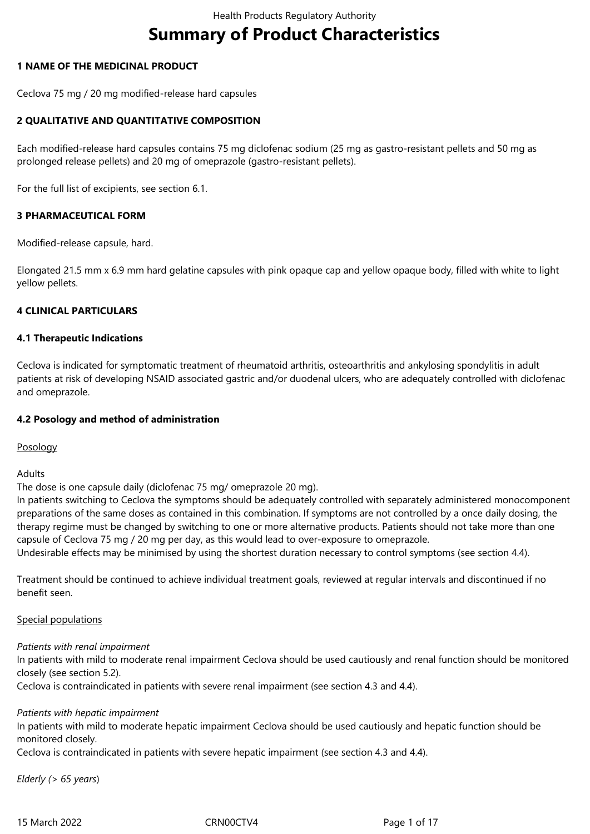# **Summary of Product Characteristics**

## **1 NAME OF THE MEDICINAL PRODUCT**

Ceclova 75 mg / 20 mg modified-release hard capsules

## **2 QUALITATIVE AND QUANTITATIVE COMPOSITION**

Each modified-release hard capsules contains 75 mg diclofenac sodium (25 mg as gastro-resistant pellets and 50 mg as prolonged release pellets) and 20 mg of omeprazole (gastro-resistant pellets).

For the full list of excipients, see section 6.1.

## **3 PHARMACEUTICAL FORM**

Modified-release capsule, hard.

Elongated 21.5 mm x 6.9 mm hard gelatine capsules with pink opaque cap and yellow opaque body, filled with white to light yellow pellets.

## **4 CLINICAL PARTICULARS**

#### **4.1 Therapeutic Indications**

Ceclova is indicated for symptomatic treatment of rheumatoid arthritis, osteoarthritis and ankylosing spondylitis in adult patients at risk of developing NSAID associated gastric and/or duodenal ulcers, who are adequately controlled with diclofenac and omeprazole.

## **4.2 Posology and method of administration**

Posology

Adults

The dose is one capsule daily (diclofenac 75 mg/ omeprazole 20 mg).

In patients switching to Ceclova the symptoms should be adequately controlled with separately administered monocomponent preparations of the same doses as contained in this combination. If symptoms are not controlled by a once daily dosing, the therapy regime must be changed by switching to one or more alternative products. Patients should not take more than one capsule of Ceclova 75 mg / 20 mg per day, as this would lead to over-exposure to omeprazole.

Undesirable effects may be minimised by using the shortest duration necessary to control symptoms (see section 4.4).

Treatment should be continued to achieve individual treatment goals, reviewed at regular intervals and discontinued if no benefit seen.

## Special populations

## *Patients with renal impairment*

In patients with mild to moderate renal impairment Ceclova should be used cautiously and renal function should be monitored closely (see section 5.2).

Ceclova is contraindicated in patients with severe renal impairment (see section 4.3 and 4.4).

#### *Patients with hepatic impairment*

In patients with mild to moderate hepatic impairment Ceclova should be used cautiously and hepatic function should be monitored closely.

Ceclova is contraindicated in patients with severe hepatic impairment (see section 4.3 and 4.4).

*Elderly (> 65 years*)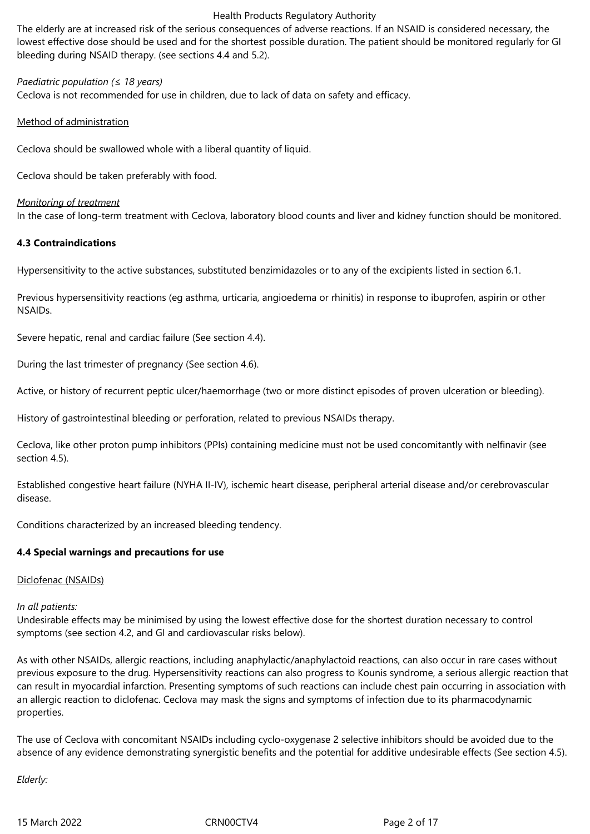The elderly are at increased risk of the serious consequences of adverse reactions. If an NSAID is considered necessary, the lowest effective dose should be used and for the shortest possible duration. The patient should be monitored regularly for GI bleeding during NSAID therapy. (see sections 4.4 and 5.2).

## *Paediatric population (≤ 18 years)*

Ceclova is not recommended for use in children, due to lack of data on safety and efficacy.

## Method of administration

Ceclova should be swallowed whole with a liberal quantity of liquid.

Ceclova should be taken preferably with food.

## *Monitoring of treatment*

In the case of long-term treatment with Ceclova, laboratory blood counts and liver and kidney function should be monitored.

## **4.3 Contraindications**

Hypersensitivity to the active substances, substituted benzimidazoles or to any of the excipients listed in section 6.1.

Previous hypersensitivity reactions (eg asthma, urticaria, angioedema or rhinitis) in response to ibuprofen, aspirin or other NSAIDs.

Severe hepatic, renal and cardiac failure (See section 4.4).

During the last trimester of pregnancy (See section 4.6).

Active, or history of recurrent peptic ulcer/haemorrhage (two or more distinct episodes of proven ulceration or bleeding).

History of gastrointestinal bleeding or perforation, related to previous NSAIDs therapy.

Ceclova, like other proton pump inhibitors (PPIs) containing medicine must not be used concomitantly with nelfinavir (see section 4.5).

Established congestive heart failure (NYHA II-IV), ischemic heart disease, peripheral arterial disease and/or cerebrovascular disease.

Conditions characterized by an increased bleeding tendency.

# **4.4 Special warnings and precautions for use**

## Diclofenac (NSAIDs)

## *In all patients:*

Undesirable effects may be minimised by using the lowest effective dose for the shortest duration necessary to control symptoms (see section 4.2, and GI and cardiovascular risks below).

As with other NSAIDs, allergic reactions, including anaphylactic/anaphylactoid reactions, can also occur in rare cases without previous exposure to the drug. Hypersensitivity reactions can also progress to Kounis syndrome, a serious allergic reaction that can result in myocardial infarction. Presenting symptoms of such reactions can include chest pain occurring in association with an allergic reaction to diclofenac. Ceclova may mask the signs and symptoms of infection due to its pharmacodynamic properties.

The use of Ceclova with concomitant NSAIDs including cyclo-oxygenase 2 selective inhibitors should be avoided due to the absence of any evidence demonstrating synergistic benefits and the potential for additive undesirable effects (See section 4.5).

*Elderly:*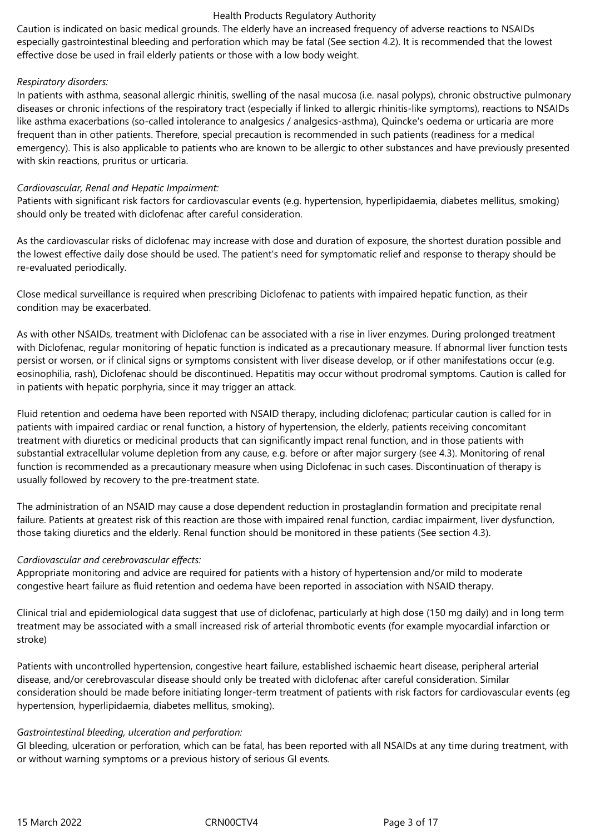Caution is indicated on basic medical grounds. The elderly have an increased frequency of adverse reactions to NSAIDs especially gastrointestinal bleeding and perforation which may be fatal (See section 4.2). It is recommended that the lowest effective dose be used in frail elderly patients or those with a low body weight.

## *Respiratory disorders:*

In patients with asthma, seasonal allergic rhinitis, swelling of the nasal mucosa (i.e. nasal polyps), chronic obstructive pulmonary diseases or chronic infections of the respiratory tract (especially if linked to allergic rhinitis-like symptoms), reactions to NSAIDs like asthma exacerbations (so-called intolerance to analgesics / analgesics-asthma), Quincke's oedema or urticaria are more frequent than in other patients. Therefore, special precaution is recommended in such patients (readiness for a medical emergency). This is also applicable to patients who are known to be allergic to other substances and have previously presented with skin reactions, pruritus or urticaria.

## *Cardiovascular, Renal and Hepatic Impairment:*

Patients with significant risk factors for cardiovascular events (e.g. hypertension, hyperlipidaemia, diabetes mellitus, smoking) should only be treated with diclofenac after careful consideration.

As the cardiovascular risks of diclofenac may increase with dose and duration of exposure, the shortest duration possible and the lowest effective daily dose should be used. The patient's need for symptomatic relief and response to therapy should be re-evaluated periodically.

Close medical surveillance is required when prescribing Diclofenac to patients with impaired hepatic function, as their condition may be exacerbated.

As with other NSAIDs, treatment with Diclofenac can be associated with a rise in liver enzymes. During prolonged treatment with Diclofenac, regular monitoring of hepatic function is indicated as a precautionary measure. If abnormal liver function tests persist or worsen, or if clinical signs or symptoms consistent with liver disease develop, or if other manifestations occur (e.g. eosinophilia, rash), Diclofenac should be discontinued. Hepatitis may occur without prodromal symptoms. Caution is called for in patients with hepatic porphyria, since it may trigger an attack.

Fluid retention and oedema have been reported with NSAID therapy, including diclofenac; particular caution is called for in patients with impaired cardiac or renal function, a history of hypertension, the elderly, patients receiving concomitant treatment with diuretics or medicinal products that can significantly impact renal function, and in those patients with substantial extracellular volume depletion from any cause, e.g. before or after major surgery (see 4.3). Monitoring of renal function is recommended as a precautionary measure when using Diclofenac in such cases. Discontinuation of therapy is usually followed by recovery to the pre-treatment state.

The administration of an NSAID may cause a dose dependent reduction in prostaglandin formation and precipitate renal failure. Patients at greatest risk of this reaction are those with impaired renal function, cardiac impairment, liver dysfunction, those taking diuretics and the elderly. Renal function should be monitored in these patients (See section 4.3).

# *Cardiovascular and cerebrovascular effects:*

Appropriate monitoring and advice are required for patients with a history of hypertension and/or mild to moderate congestive heart failure as fluid retention and oedema have been reported in association with NSAID therapy.

Clinical trial and epidemiological data suggest that use of diclofenac, particularly at high dose (150 mg daily) and in long term treatment may be associated with a small increased risk of arterial thrombotic events (for example myocardial infarction or stroke)

Patients with uncontrolled hypertension, congestive heart failure, established ischaemic heart disease, peripheral arterial disease, and/or cerebrovascular disease should only be treated with diclofenac after careful consideration. Similar consideration should be made before initiating longer-term treatment of patients with risk factors for cardiovascular events (eg hypertension, hyperlipidaemia, diabetes mellitus, smoking).

# *Gastrointestinal bleeding, ulceration and perforation:*

GI bleeding, ulceration or perforation, which can be fatal, has been reported with all NSAIDs at any time during treatment, with or without warning symptoms or a previous history of serious GI events.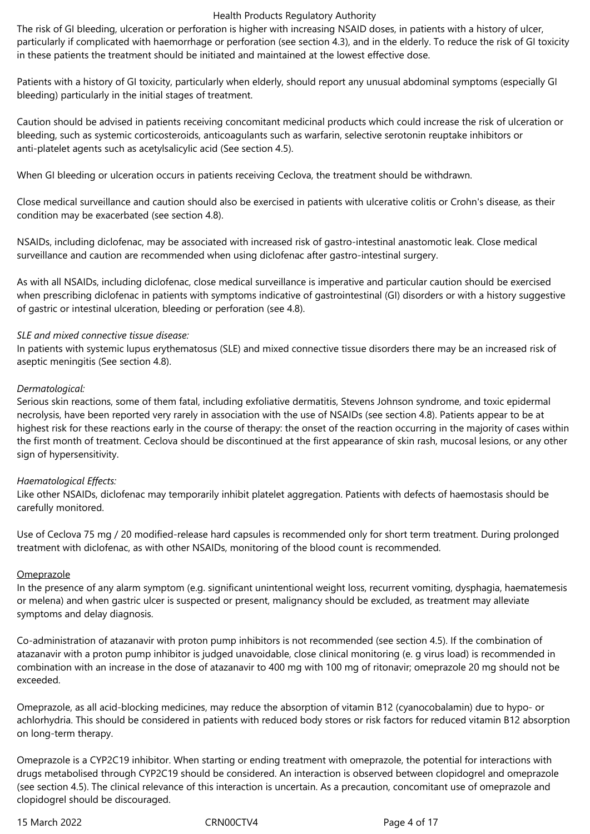The risk of GI bleeding, ulceration or perforation is higher with increasing NSAID doses, in patients with a history of ulcer, particularly if complicated with haemorrhage or perforation (see section 4.3), and in the elderly. To reduce the risk of GI toxicity in these patients the treatment should be initiated and maintained at the lowest effective dose.

Patients with a history of GI toxicity, particularly when elderly, should report any unusual abdominal symptoms (especially GI bleeding) particularly in the initial stages of treatment.

Caution should be advised in patients receiving concomitant medicinal products which could increase the risk of ulceration or bleeding, such as systemic corticosteroids, anticoagulants such as warfarin, selective serotonin reuptake inhibitors or anti-platelet agents such as acetylsalicylic acid (See section 4.5).

When GI bleeding or ulceration occurs in patients receiving Ceclova, the treatment should be withdrawn.

Close medical surveillance and caution should also be exercised in patients with ulcerative colitis or Crohn's disease, as their condition may be exacerbated (see section 4.8).

NSAIDs, including diclofenac, may be associated with increased risk of gastro-intestinal anastomotic leak. Close medical surveillance and caution are recommended when using diclofenac after gastro-intestinal surgery.

As with all NSAIDs, including diclofenac, close medical surveillance is imperative and particular caution should be exercised when prescribing diclofenac in patients with symptoms indicative of gastrointestinal (GI) disorders or with a history suggestive of gastric or intestinal ulceration, bleeding or perforation (see 4.8).

## *SLE and mixed connective tissue disease:*

In patients with systemic lupus erythematosus (SLE) and mixed connective tissue disorders there may be an increased risk of aseptic meningitis (See section 4.8).

## *Dermatological:*

Serious skin reactions, some of them fatal, including exfoliative dermatitis, Stevens Johnson syndrome, and toxic epidermal necrolysis, have been reported very rarely in association with the use of NSAIDs (see section 4.8). Patients appear to be at highest risk for these reactions early in the course of therapy: the onset of the reaction occurring in the majority of cases within the first month of treatment. Ceclova should be discontinued at the first appearance of skin rash, mucosal lesions, or any other sign of hypersensitivity.

# *Haematological Effects:*

Like other NSAIDs, diclofenac may temporarily inhibit platelet aggregation. Patients with defects of haemostasis should be carefully monitored.

Use of Ceclova 75 mg / 20 modified-release hard capsules is recommended only for short term treatment. During prolonged treatment with diclofenac, as with other NSAIDs, monitoring of the blood count is recommended.

## Omeprazole

In the presence of any alarm symptom (e.g. significant unintentional weight loss, recurrent vomiting, dysphagia, haematemesis or melena) and when gastric ulcer is suspected or present, malignancy should be excluded, as treatment may alleviate symptoms and delay diagnosis.

Co-administration of atazanavir with proton pump inhibitors is not recommended (see section 4.5). If the combination of atazanavir with a proton pump inhibitor is judged unavoidable, close clinical monitoring (e. g virus load) is recommended in combination with an increase in the dose of atazanavir to 400 mg with 100 mg of ritonavir; omeprazole 20 mg should not be exceeded.

Omeprazole, as all acid-blocking medicines, may reduce the absorption of vitamin B12 (cyanocobalamin) due to hypo- or achlorhydria. This should be considered in patients with reduced body stores or risk factors for reduced vitamin B12 absorption on long-term therapy.

Omeprazole is a CYP2C19 inhibitor. When starting or ending treatment with omeprazole, the potential for interactions with drugs metabolised through CYP2C19 should be considered. An interaction is observed between clopidogrel and omeprazole (see section 4.5). The clinical relevance of this interaction is uncertain. As a precaution, concomitant use of omeprazole and clopidogrel should be discouraged.

15 March 2022 CRN00CTV4 Page 4 of 17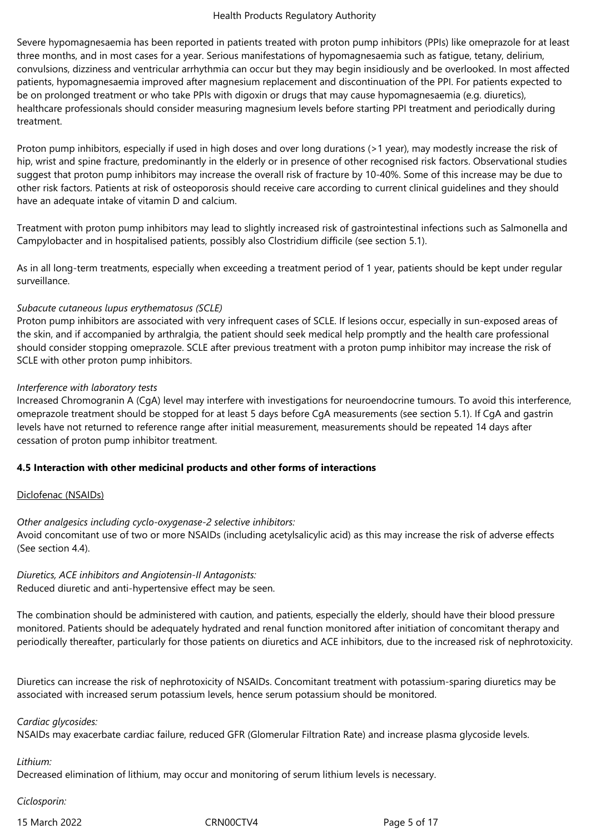Severe hypomagnesaemia has been reported in patients treated with proton pump inhibitors (PPIs) like omeprazole for at least three months, and in most cases for a year. Serious manifestations of hypomagnesaemia such as fatigue, tetany, delirium, convulsions, dizziness and ventricular arrhythmia can occur but they may begin insidiously and be overlooked. In most affected patients, hypomagnesaemia improved after magnesium replacement and discontinuation of the PPI. For patients expected to be on prolonged treatment or who take PPIs with digoxin or drugs that may cause hypomagnesaemia (e.g. diuretics), healthcare professionals should consider measuring magnesium levels before starting PPI treatment and periodically during treatment.

Proton pump inhibitors, especially if used in high doses and over long durations (>1 year), may modestly increase the risk of hip, wrist and spine fracture, predominantly in the elderly or in presence of other recognised risk factors. Observational studies suggest that proton pump inhibitors may increase the overall risk of fracture by 10-40%. Some of this increase may be due to other risk factors. Patients at risk of osteoporosis should receive care according to current clinical guidelines and they should have an adequate intake of vitamin D and calcium.

Treatment with proton pump inhibitors may lead to slightly increased risk of gastrointestinal infections such as Salmonella and Campylobacter and in hospitalised patients, possibly also Clostridium difficile (see section 5.1).

As in all long-term treatments, especially when exceeding a treatment period of 1 year, patients should be kept under regular surveillance.

## *Subacute cutaneous lupus erythematosus (SCLE)*

Proton pump inhibitors are associated with very infrequent cases of SCLE. If lesions occur, especially in sun-exposed areas of the skin, and if accompanied by arthralgia, the patient should seek medical help promptly and the health care professional should consider stopping omeprazole. SCLE after previous treatment with a proton pump inhibitor may increase the risk of SCLE with other proton pump inhibitors.

## *Interference with laboratory tests*

Increased Chromogranin A (CgA) level may interfere with investigations for neuroendocrine tumours. To avoid this interference, omeprazole treatment should be stopped for at least 5 days before CgA measurements (see section 5.1). If CgA and gastrin levels have not returned to reference range after initial measurement, measurements should be repeated 14 days after cessation of proton pump inhibitor treatment.

## **4.5 Interaction with other medicinal products and other forms of interactions**

## Diclofenac (NSAIDs)

## *Other analgesics including cyclo-oxygenase-2 selective inhibitors:*

Avoid concomitant use of two or more NSAIDs (including acetylsalicylic acid) as this may increase the risk of adverse effects (See section 4.4).

*Diuretics, ACE inhibitors and Angiotensin-II Antagonists:* Reduced diuretic and anti-hypertensive effect may be seen.

The combination should be administered with caution, and patients, especially the elderly, should have their blood pressure monitored. Patients should be adequately hydrated and renal function monitored after initiation of concomitant therapy and periodically thereafter, particularly for those patients on diuretics and ACE inhibitors, due to the increased risk of nephrotoxicity.

Diuretics can increase the risk of nephrotoxicity of NSAIDs. Concomitant treatment with potassium-sparing diuretics may be associated with increased serum potassium levels, hence serum potassium should be monitored.

## *Cardiac glycosides:*

NSAIDs may exacerbate cardiac failure, reduced GFR (Glomerular Filtration Rate) and increase plasma glycoside levels.

## *Lithium:*

Decreased elimination of lithium, may occur and monitoring of serum lithium levels is necessary.

*Ciclosporin:*

15 March 2022 CRN00CTV4 Page 5 of 17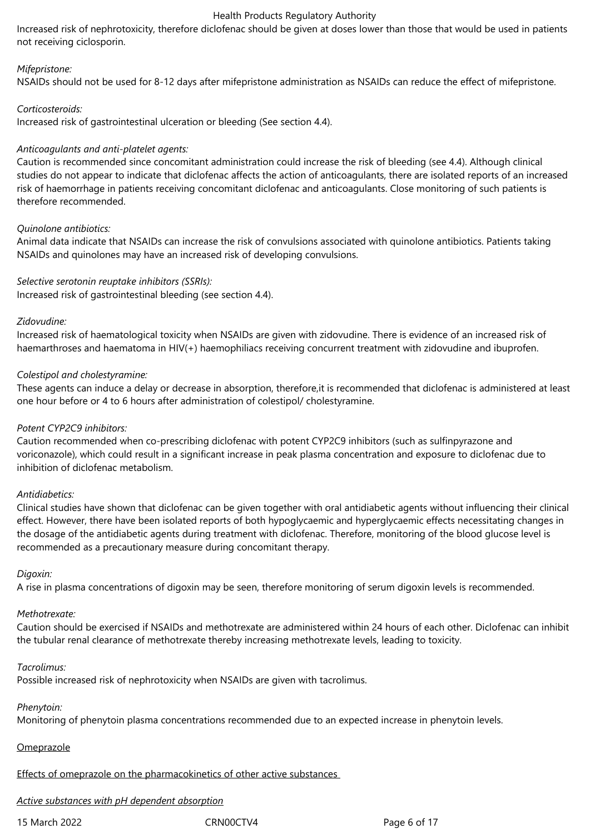Increased risk of nephrotoxicity, therefore diclofenac should be given at doses lower than those that would be used in patients not receiving ciclosporin.

## *Mifepristone:*

NSAIDs should not be used for 8-12 days after mifepristone administration as NSAIDs can reduce the effect of mifepristone.

#### *Corticosteroids:*

Increased risk of gastrointestinal ulceration or bleeding (See section 4.4).

#### *Anticoagulants and anti-platelet agents:*

Caution is recommended since concomitant administration could increase the risk of bleeding (see 4.4). Although clinical studies do not appear to indicate that diclofenac affects the action of anticoagulants, there are isolated reports of an increased risk of haemorrhage in patients receiving concomitant diclofenac and anticoagulants. Close monitoring of such patients is therefore recommended.

#### *Quinolone antibiotics:*

Animal data indicate that NSAIDs can increase the risk of convulsions associated with quinolone antibiotics. Patients taking NSAIDs and quinolones may have an increased risk of developing convulsions.

#### *Selective serotonin reuptake inhibitors (SSRIs):*

Increased risk of gastrointestinal bleeding (see section 4.4).

#### *Zidovudine:*

Increased risk of haematological toxicity when NSAIDs are given with zidovudine. There is evidence of an increased risk of haemarthroses and haematoma in HIV(+) haemophiliacs receiving concurrent treatment with zidovudine and ibuprofen.

#### *Colestipol and cholestyramine:*

These agents can induce a delay or decrease in absorption, therefore,it is recommended that diclofenac is administered at least one hour before or 4 to 6 hours after administration of colestipol/ cholestyramine.

## *Potent CYP2C9 inhibitors:*

Caution recommended when co-prescribing diclofenac with potent CYP2C9 inhibitors (such as sulfinpyrazone and voriconazole), which could result in a significant increase in peak plasma concentration and exposure to diclofenac due to inhibition of diclofenac metabolism.

## *Antidiabetics:*

Clinical studies have shown that diclofenac can be given together with oral antidiabetic agents without influencing their clinical effect. However, there have been isolated reports of both hypoglycaemic and hyperglycaemic effects necessitating changes in the dosage of the antidiabetic agents during treatment with diclofenac. Therefore, monitoring of the blood glucose level is recommended as a precautionary measure during concomitant therapy.

## *Digoxin:*

A rise in plasma concentrations of digoxin may be seen, therefore monitoring of serum digoxin levels is recommended.

#### *Methotrexate:*

Caution should be exercised if NSAIDs and methotrexate are administered within 24 hours of each other. Diclofenac can inhibit the tubular renal clearance of methotrexate thereby increasing methotrexate levels, leading to toxicity.

## *Tacrolimus:*

Possible increased risk of nephrotoxicity when NSAIDs are given with tacrolimus.

## *Phenytoin:*

Monitoring of phenytoin plasma concentrations recommended due to an expected increase in phenytoin levels.

#### **Omeprazole**

#### Effects of omeprazole on the pharmacokinetics of other active substances

## *Active substances with pH dependent absorption*

15 March 2022 CRN00CTV4 Page 6 of 17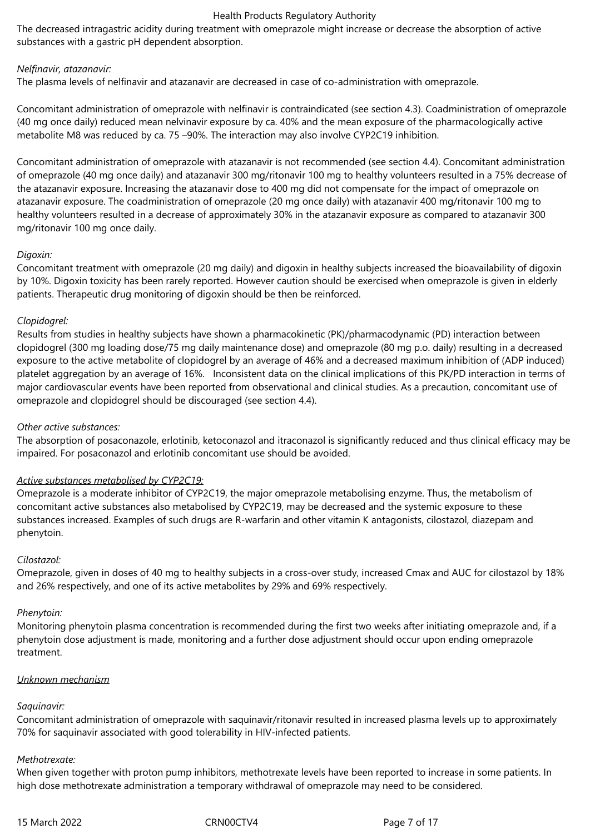The decreased intragastric acidity during treatment with omeprazole might increase or decrease the absorption of active substances with a gastric pH dependent absorption.

## *Nelfinavir, atazanavir:*

The plasma levels of nelfinavir and atazanavir are decreased in case of co-administration with omeprazole.

Concomitant administration of omeprazole with nelfinavir is contraindicated (see section 4.3). Coadministration of omeprazole (40 mg once daily) reduced mean nelvinavir exposure by ca. 40% and the mean exposure of the pharmacologically active metabolite M8 was reduced by ca. 75 –90%. The interaction may also involve CYP2C19 inhibition.

Concomitant administration of omeprazole with atazanavir is not recommended (see section 4.4). Concomitant administration of omeprazole (40 mg once daily) and atazanavir 300 mg/ritonavir 100 mg to healthy volunteers resulted in a 75% decrease of the atazanavir exposure. Increasing the atazanavir dose to 400 mg did not compensate for the impact of omeprazole on atazanavir exposure. The coadministration of omeprazole (20 mg once daily) with atazanavir 400 mg/ritonavir 100 mg to healthy volunteers resulted in a decrease of approximately 30% in the atazanavir exposure as compared to atazanavir 300 mg/ritonavir 100 mg once daily.

## *Digoxin:*

Concomitant treatment with omeprazole (20 mg daily) and digoxin in healthy subjects increased the bioavailability of digoxin by 10%. Digoxin toxicity has been rarely reported. However caution should be exercised when omeprazole is given in elderly patients. Therapeutic drug monitoring of digoxin should be then be reinforced.

## *Clopidogrel:*

Results from studies in healthy subjects have shown a pharmacokinetic (PK)/pharmacodynamic (PD) interaction between clopidogrel (300 mg loading dose/75 mg daily maintenance dose) and omeprazole (80 mg p.o. daily) resulting in a decreased exposure to the active metabolite of clopidogrel by an average of 46% and a decreased maximum inhibition of (ADP induced) platelet aggregation by an average of 16%. Inconsistent data on the clinical implications of this PK/PD interaction in terms of major cardiovascular events have been reported from observational and clinical studies. As a precaution, concomitant use of omeprazole and clopidogrel should be discouraged (see section 4.4).

# *Other active substances:*

The absorption of posaconazole, erlotinib, ketoconazol and itraconazol is significantly reduced and thus clinical efficacy may be impaired. For posaconazol and erlotinib concomitant use should be avoided.

## *Active substances metabolised by CYP2C19:*

Omeprazole is a moderate inhibitor of CYP2C19, the major omeprazole metabolising enzyme. Thus, the metabolism of concomitant active substances also metabolised by CYP2C19, may be decreased and the systemic exposure to these substances increased. Examples of such drugs are R-warfarin and other vitamin K antagonists, cilostazol, diazepam and phenytoin.

## *Cilostazol:*

Omeprazole, given in doses of 40 mg to healthy subjects in a cross-over study, increased Cmax and AUC for cilostazol by 18% and 26% respectively, and one of its active metabolites by 29% and 69% respectively.

## *Phenytoin:*

Monitoring phenytoin plasma concentration is recommended during the first two weeks after initiating omeprazole and, if a phenytoin dose adjustment is made, monitoring and a further dose adjustment should occur upon ending omeprazole treatment.

## *Unknown mechanism*

# *Saquinavir:*

Concomitant administration of omeprazole with saquinavir/ritonavir resulted in increased plasma levels up to approximately 70% for saquinavir associated with good tolerability in HIV-infected patients.

## *Methotrexate:*

When given together with proton pump inhibitors, methotrexate levels have been reported to increase in some patients. In high dose methotrexate administration a temporary withdrawal of omeprazole may need to be considered.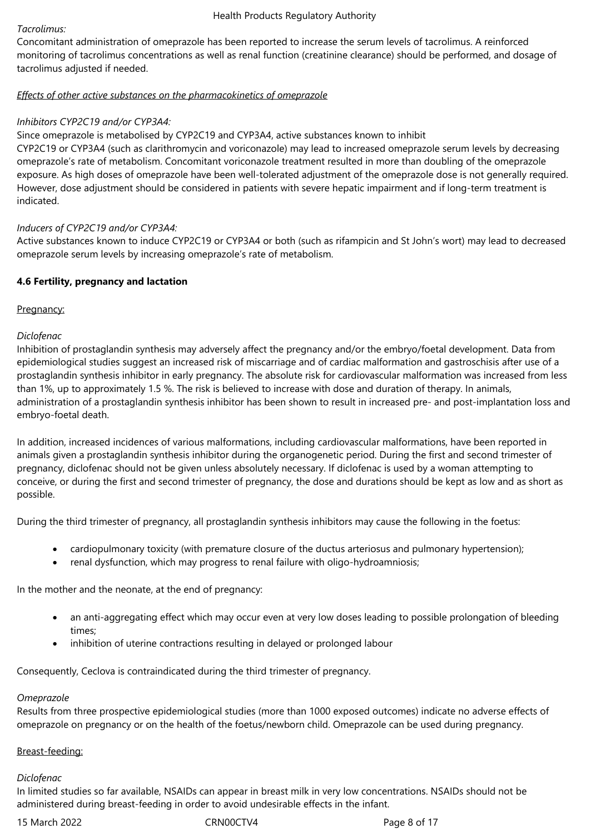## *Tacrolimus:*

Concomitant administration of omeprazole has been reported to increase the serum levels of tacrolimus. A reinforced monitoring of tacrolimus concentrations as well as renal function (creatinine clearance) should be performed, and dosage of tacrolimus adjusted if needed.

## *Effects of other active substances on the pharmacokinetics of omeprazole*

## *Inhibitors CYP2C19 and/or CYP3A4:*

Since omeprazole is metabolised by CYP2C19 and CYP3A4, active substances known to inhibit

CYP2C19 or CYP3A4 (such as clarithromycin and voriconazole) may lead to increased omeprazole serum levels by decreasing omeprazole's rate of metabolism. Concomitant voriconazole treatment resulted in more than doubling of the omeprazole exposure. As high doses of omeprazole have been well-tolerated adjustment of the omeprazole dose is not generally required. However, dose adjustment should be considered in patients with severe hepatic impairment and if long-term treatment is indicated.

## *Inducers of CYP2C19 and/or CYP3A4:*

Active substances known to induce CYP2C19 or CYP3A4 or both (such as rifampicin and St John's wort) may lead to decreased omeprazole serum levels by increasing omeprazole's rate of metabolism.

# **4.6 Fertility, pregnancy and lactation**

## Pregnancy:

## *Diclofenac*

Inhibition of prostaglandin synthesis may adversely affect the pregnancy and/or the embryo/foetal development. Data from epidemiological studies suggest an increased risk of miscarriage and of cardiac malformation and gastroschisis after use of a prostaglandin synthesis inhibitor in early pregnancy. The absolute risk for cardiovascular malformation was increased from less than 1%, up to approximately 1.5 %. The risk is believed to increase with dose and duration of therapy. In animals, administration of a prostaglandin synthesis inhibitor has been shown to result in increased pre- and post-implantation loss and embryo-foetal death.

In addition, increased incidences of various malformations, including cardiovascular malformations, have been reported in animals given a prostaglandin synthesis inhibitor during the organogenetic period. During the first and second trimester of pregnancy, diclofenac should not be given unless absolutely necessary. If diclofenac is used by a woman attempting to conceive, or during the first and second trimester of pregnancy, the dose and durations should be kept as low and as short as possible.

During the third trimester of pregnancy, all prostaglandin synthesis inhibitors may cause the following in the foetus:

- cardiopulmonary toxicity (with premature closure of the ductus arteriosus and pulmonary hypertension);
- renal dysfunction, which may progress to renal failure with oligo-hydroamniosis;

In the mother and the neonate, at the end of pregnancy:

- an anti-aggregating effect which may occur even at very low doses leading to possible prolongation of bleeding times;
- inhibition of uterine contractions resulting in delayed or prolonged labour

Consequently, Ceclova is contraindicated during the third trimester of pregnancy.

## *Omeprazole*

Results from three prospective epidemiological studies (more than 1000 exposed outcomes) indicate no adverse effects of omeprazole on pregnancy or on the health of the foetus/newborn child. Omeprazole can be used during pregnancy.

## Breast-feeding:

#### *Diclofenac*

In limited studies so far available, NSAIDs can appear in breast milk in very low concentrations. NSAIDs should not be administered during breast-feeding in order to avoid undesirable effects in the infant.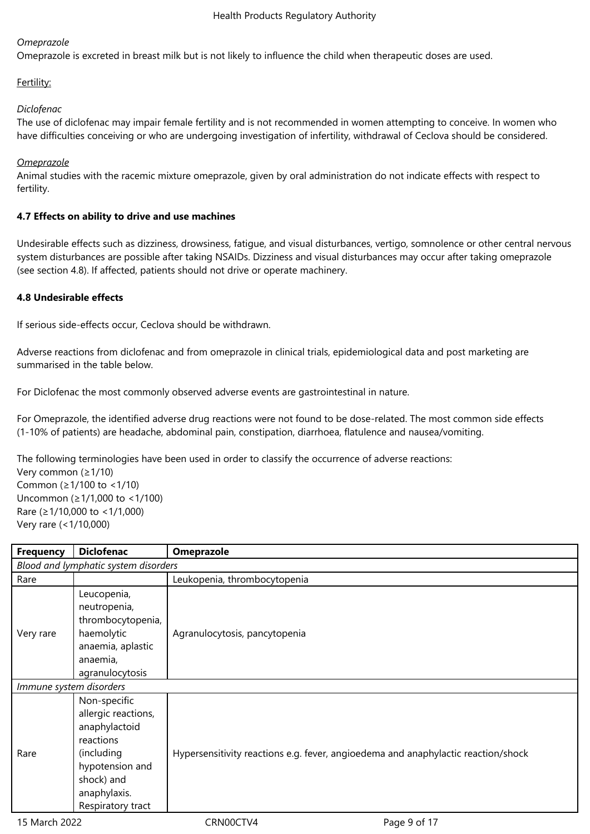# *Omeprazole*

Omeprazole is excreted in breast milk but is not likely to influence the child when therapeutic doses are used.

# Fertility:

## *Diclofenac*

The use of diclofenac may impair female fertility and is not recommended in women attempting to conceive. In women who have difficulties conceiving or who are undergoing investigation of infertility, withdrawal of Ceclova should be considered.

## *Omeprazole*

Animal studies with the racemic mixture omeprazole, given by oral administration do not indicate effects with respect to fertility.

# **4.7 Effects on ability to drive and use machines**

Undesirable effects such as dizziness, drowsiness, fatigue, and visual disturbances, vertigo, somnolence or other central nervous system disturbances are possible after taking NSAIDs. Dizziness and visual disturbances may occur after taking omeprazole (see section 4.8). If affected, patients should not drive or operate machinery.

## **4.8 Undesirable effects**

If serious side-effects occur, Ceclova should be withdrawn.

Adverse reactions from diclofenac and from omeprazole in clinical trials, epidemiological data and post marketing are summarised in the table below.

For Diclofenac the most commonly observed adverse events are gastrointestinal in nature.

For Omeprazole, the identified adverse drug reactions were not found to be dose-related. The most common side effects (1-10% of patients) are headache, abdominal pain, constipation, diarrhoea, flatulence and nausea/vomiting.

The following terminologies have been used in order to classify the occurrence of adverse reactions: Very common (≥1/10) Common (≥1/100 to <1/10) Uncommon (≥1/1,000 to <1/100) Rare (≥1/10,000 to <1/1,000) Very rare (<1/10,000)

| <b>Frequency</b>                     | <b>Diclofenac</b>           | <b>Omeprazole</b>                                                                 |  |  |  |  |
|--------------------------------------|-----------------------------|-----------------------------------------------------------------------------------|--|--|--|--|
| Blood and lymphatic system disorders |                             |                                                                                   |  |  |  |  |
| Rare                                 |                             | Leukopenia, thrombocytopenia                                                      |  |  |  |  |
| Very rare                            | Leucopenia,<br>neutropenia, |                                                                                   |  |  |  |  |
|                                      | thrombocytopenia,           |                                                                                   |  |  |  |  |
|                                      | haemolytic                  | Agranulocytosis, pancytopenia                                                     |  |  |  |  |
|                                      | anaemia, aplastic           |                                                                                   |  |  |  |  |
|                                      | anaemia,                    |                                                                                   |  |  |  |  |
|                                      | agranulocytosis             |                                                                                   |  |  |  |  |
|                                      | Immune system disorders     |                                                                                   |  |  |  |  |
| Rare                                 | Non-specific                |                                                                                   |  |  |  |  |
|                                      | allergic reactions,         |                                                                                   |  |  |  |  |
|                                      | anaphylactoid               |                                                                                   |  |  |  |  |
|                                      | reactions                   |                                                                                   |  |  |  |  |
|                                      | (including                  | Hypersensitivity reactions e.g. fever, angioedema and anaphylactic reaction/shock |  |  |  |  |
|                                      | hypotension and             |                                                                                   |  |  |  |  |
|                                      | shock) and                  |                                                                                   |  |  |  |  |
|                                      | anaphylaxis.                |                                                                                   |  |  |  |  |
|                                      | Respiratory tract           |                                                                                   |  |  |  |  |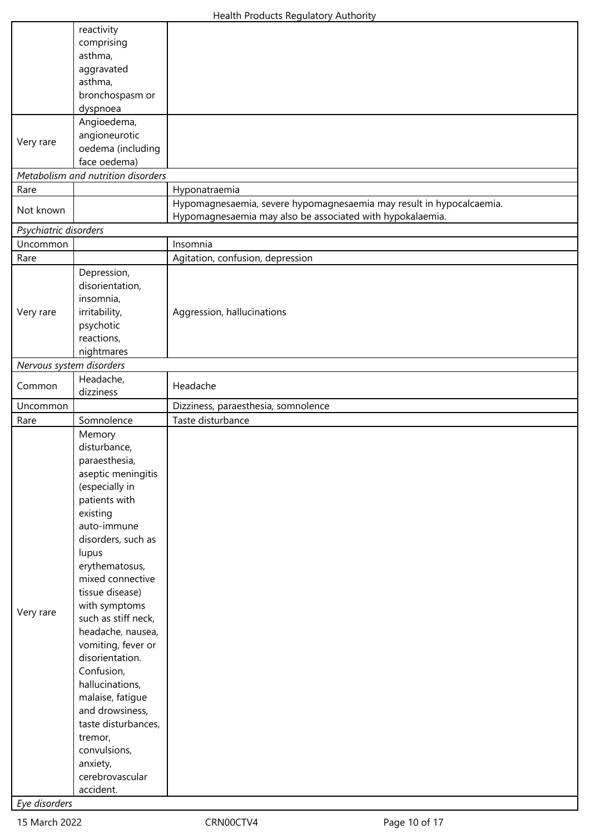|                          | reactivity                         |                                                                      |
|--------------------------|------------------------------------|----------------------------------------------------------------------|
|                          | comprising                         |                                                                      |
|                          | asthma,                            |                                                                      |
|                          | aggravated                         |                                                                      |
|                          | asthma,                            |                                                                      |
|                          |                                    |                                                                      |
|                          | bronchospasm or                    |                                                                      |
|                          | dyspnoea                           |                                                                      |
|                          | Angioedema,                        |                                                                      |
| Very rare                | angioneurotic                      |                                                                      |
|                          | oedema (including                  |                                                                      |
|                          | face oedema)                       |                                                                      |
|                          | Metabolism and nutrition disorders |                                                                      |
| Rare                     |                                    | Hyponatraemia                                                        |
|                          |                                    | Hypomagnesaemia, severe hypomagnesaemia may result in hypocalcaemia. |
| Not known                |                                    | Hypomagnesaemia may also be associated with hypokalaemia.            |
| Psychiatric disorders    |                                    |                                                                      |
|                          |                                    |                                                                      |
| Uncommon                 |                                    | Insomnia                                                             |
| Rare                     |                                    | Agitation, confusion, depression                                     |
|                          | Depression,                        |                                                                      |
|                          | disorientation,                    |                                                                      |
|                          | insomnia,                          |                                                                      |
| Very rare                | irritability,                      | Aggression, hallucinations                                           |
|                          | psychotic                          |                                                                      |
|                          | reactions,                         |                                                                      |
|                          |                                    |                                                                      |
|                          | nightmares                         |                                                                      |
| Nervous system disorders |                                    |                                                                      |
| Common                   | Headache,                          | Headache                                                             |
|                          | dizziness                          |                                                                      |
| Uncommon                 |                                    | Dizziness, paraesthesia, somnolence                                  |
| Rare                     | Somnolence                         | Taste disturbance                                                    |
|                          | Memory                             |                                                                      |
|                          | disturbance,                       |                                                                      |
|                          | paraesthesia,                      |                                                                      |
|                          | aseptic meningitis                 |                                                                      |
|                          | (especially in                     |                                                                      |
|                          | patients with                      |                                                                      |
|                          |                                    |                                                                      |
|                          | existing                           |                                                                      |
|                          | auto-immune                        |                                                                      |
|                          | disorders, such as                 |                                                                      |
|                          | lupus                              |                                                                      |
|                          | erythematosus,                     |                                                                      |
|                          | mixed connective                   |                                                                      |
|                          | tissue disease)                    |                                                                      |
|                          | with symptoms                      |                                                                      |
| Very rare                | such as stiff neck,                |                                                                      |
|                          | headache, nausea,                  |                                                                      |
|                          | vomiting, fever or                 |                                                                      |
|                          | disorientation.                    |                                                                      |
|                          |                                    |                                                                      |
|                          | Confusion,                         |                                                                      |
|                          | hallucinations,                    |                                                                      |
|                          | malaise, fatigue                   |                                                                      |
|                          | and drowsiness,                    |                                                                      |
|                          | taste disturbances,                |                                                                      |
|                          | tremor,                            |                                                                      |
|                          | convulsions,                       |                                                                      |
|                          | anxiety,                           |                                                                      |
|                          |                                    |                                                                      |
|                          | cerebrovascular                    |                                                                      |
|                          | accident.                          |                                                                      |
| Eye disorders            |                                    |                                                                      |

15 March 2022 CRN00CTV4 CRNOOCTV4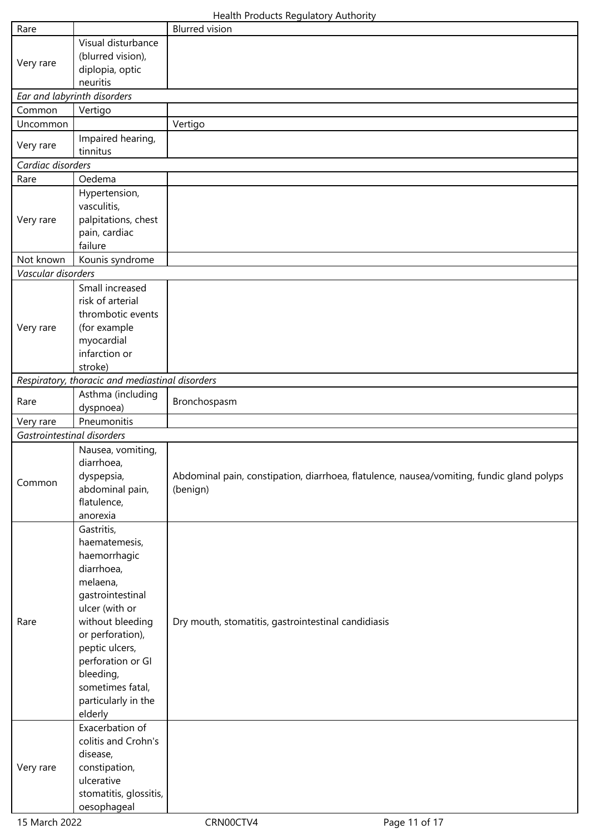| Rare                       |                                                 | <b>Blurred vision</b>                                                                     |
|----------------------------|-------------------------------------------------|-------------------------------------------------------------------------------------------|
| Very rare                  | Visual disturbance                              |                                                                                           |
|                            | (blurred vision),                               |                                                                                           |
|                            | diplopia, optic                                 |                                                                                           |
|                            | neuritis                                        |                                                                                           |
|                            | Ear and labyrinth disorders                     |                                                                                           |
| Common                     | Vertigo                                         |                                                                                           |
| Uncommon                   |                                                 | Vertigo                                                                                   |
| Very rare                  | Impaired hearing,                               |                                                                                           |
| Cardiac disorders          | tinnitus                                        |                                                                                           |
| Rare                       | Oedema                                          |                                                                                           |
|                            | Hypertension,                                   |                                                                                           |
|                            | vasculitis,                                     |                                                                                           |
| Very rare                  | palpitations, chest                             |                                                                                           |
|                            | pain, cardiac                                   |                                                                                           |
|                            | failure                                         |                                                                                           |
| Not known                  | Kounis syndrome                                 |                                                                                           |
| Vascular disorders         |                                                 |                                                                                           |
|                            | Small increased                                 |                                                                                           |
|                            | risk of arterial                                |                                                                                           |
|                            | thrombotic events                               |                                                                                           |
| Very rare                  | (for example<br>myocardial                      |                                                                                           |
|                            | infarction or                                   |                                                                                           |
|                            | stroke)                                         |                                                                                           |
|                            | Respiratory, thoracic and mediastinal disorders |                                                                                           |
|                            | Asthma (including                               |                                                                                           |
| Rare                       | dyspnoea)                                       | Bronchospasm                                                                              |
| Very rare                  | Pneumonitis                                     |                                                                                           |
| Gastrointestinal disorders |                                                 |                                                                                           |
|                            | Nausea, vomiting,                               |                                                                                           |
|                            | diarrhoea,                                      |                                                                                           |
|                            |                                                 |                                                                                           |
| Common                     | dyspepsia,                                      | Abdominal pain, constipation, diarrhoea, flatulence, nausea/vomiting, fundic gland polyps |
|                            | abdominal pain,                                 | (benign)                                                                                  |
|                            | flatulence,                                     |                                                                                           |
|                            | anorexia                                        |                                                                                           |
|                            | Gastritis,<br>haematemesis,                     |                                                                                           |
|                            | haemorrhagic                                    |                                                                                           |
|                            | diarrhoea,                                      |                                                                                           |
|                            | melaena,                                        |                                                                                           |
|                            | gastrointestinal                                |                                                                                           |
|                            | ulcer (with or                                  |                                                                                           |
| Rare                       | without bleeding                                | Dry mouth, stomatitis, gastrointestinal candidiasis                                       |
|                            | or perforation),                                |                                                                                           |
|                            | peptic ulcers,<br>perforation or GI             |                                                                                           |
|                            | bleeding,                                       |                                                                                           |
|                            | sometimes fatal,                                |                                                                                           |
|                            | particularly in the                             |                                                                                           |
|                            | elderly                                         |                                                                                           |
|                            | Exacerbation of                                 |                                                                                           |
|                            | colitis and Crohn's                             |                                                                                           |
|                            | disease,                                        |                                                                                           |
| Very rare                  | constipation,<br>ulcerative                     |                                                                                           |
|                            | stomatitis, glossitis,                          |                                                                                           |
|                            | oesophageal                                     |                                                                                           |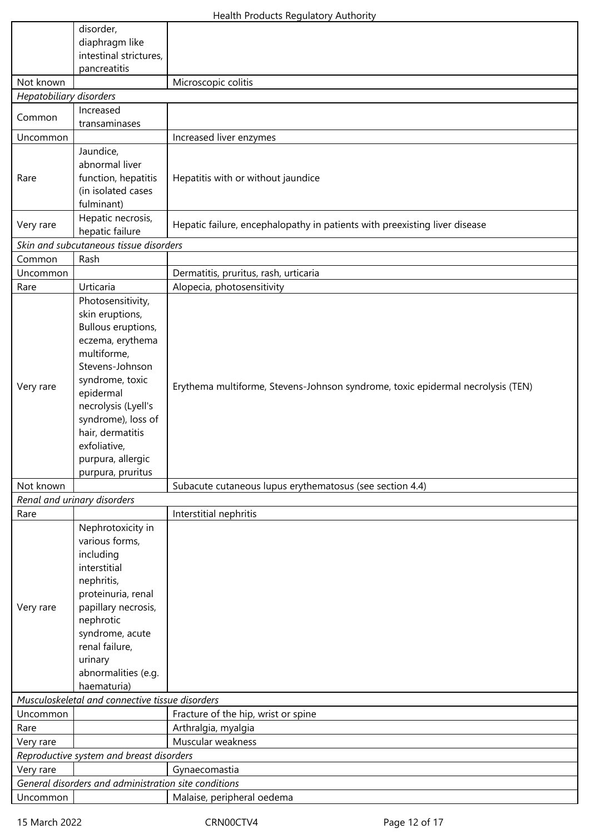|                                                 | disorder,                                            |                                                                                 |  |  |
|-------------------------------------------------|------------------------------------------------------|---------------------------------------------------------------------------------|--|--|
|                                                 | diaphragm like                                       |                                                                                 |  |  |
|                                                 | intestinal strictures,                               |                                                                                 |  |  |
|                                                 | pancreatitis                                         |                                                                                 |  |  |
| Not known                                       |                                                      | Microscopic colitis                                                             |  |  |
| Hepatobiliary disorders                         |                                                      |                                                                                 |  |  |
| Common                                          | Increased<br>transaminases                           |                                                                                 |  |  |
| Uncommon                                        |                                                      | Increased liver enzymes                                                         |  |  |
| Rare                                            | Jaundice,                                            |                                                                                 |  |  |
|                                                 | abnormal liver                                       |                                                                                 |  |  |
|                                                 | function, hepatitis                                  | Hepatitis with or without jaundice                                              |  |  |
|                                                 | (in isolated cases                                   |                                                                                 |  |  |
|                                                 | fulminant)                                           |                                                                                 |  |  |
| Very rare                                       | Hepatic necrosis,<br>hepatic failure                 | Hepatic failure, encephalopathy in patients with preexisting liver disease      |  |  |
|                                                 | Skin and subcutaneous tissue disorders               |                                                                                 |  |  |
| Common                                          | Rash                                                 |                                                                                 |  |  |
| Uncommon                                        |                                                      | Dermatitis, pruritus, rash, urticaria                                           |  |  |
| Rare                                            | Urticaria                                            | Alopecia, photosensitivity                                                      |  |  |
|                                                 | Photosensitivity,                                    |                                                                                 |  |  |
|                                                 | skin eruptions,                                      |                                                                                 |  |  |
|                                                 | Bullous eruptions,                                   |                                                                                 |  |  |
|                                                 | eczema, erythema                                     |                                                                                 |  |  |
|                                                 | multiforme,                                          |                                                                                 |  |  |
|                                                 | Stevens-Johnson                                      |                                                                                 |  |  |
| Very rare                                       | syndrome, toxic                                      | Erythema multiforme, Stevens-Johnson syndrome, toxic epidermal necrolysis (TEN) |  |  |
|                                                 | epidermal                                            |                                                                                 |  |  |
|                                                 | necrolysis (Lyell's                                  |                                                                                 |  |  |
|                                                 | syndrome), loss of                                   |                                                                                 |  |  |
|                                                 | hair, dermatitis<br>exfoliative,                     |                                                                                 |  |  |
|                                                 | purpura, allergic                                    |                                                                                 |  |  |
|                                                 | purpura, pruritus                                    |                                                                                 |  |  |
| Not known                                       |                                                      | Subacute cutaneous lupus erythematosus (see section 4.4)                        |  |  |
|                                                 | Renal and urinary disorders                          |                                                                                 |  |  |
| Rare                                            |                                                      | Interstitial nephritis                                                          |  |  |
|                                                 | Nephrotoxicity in                                    |                                                                                 |  |  |
|                                                 | various forms,                                       |                                                                                 |  |  |
|                                                 | including                                            |                                                                                 |  |  |
|                                                 | interstitial                                         |                                                                                 |  |  |
|                                                 | nephritis,                                           |                                                                                 |  |  |
|                                                 | proteinuria, renal                                   |                                                                                 |  |  |
| Very rare                                       | papillary necrosis,                                  |                                                                                 |  |  |
|                                                 | nephrotic<br>syndrome, acute                         |                                                                                 |  |  |
|                                                 | renal failure,                                       |                                                                                 |  |  |
|                                                 | urinary                                              |                                                                                 |  |  |
|                                                 | abnormalities (e.g.                                  |                                                                                 |  |  |
|                                                 | haematuria)                                          |                                                                                 |  |  |
| Musculoskeletal and connective tissue disorders |                                                      |                                                                                 |  |  |
| Uncommon                                        |                                                      | Fracture of the hip, wrist or spine                                             |  |  |
| Rare                                            |                                                      | Arthralgia, myalgia                                                             |  |  |
| Very rare                                       |                                                      | Muscular weakness                                                               |  |  |
| Reproductive system and breast disorders        |                                                      |                                                                                 |  |  |
| Very rare<br>Gynaecomastia                      |                                                      |                                                                                 |  |  |
|                                                 | General disorders and administration site conditions |                                                                                 |  |  |
| Uncommon                                        |                                                      | Malaise, peripheral oedema                                                      |  |  |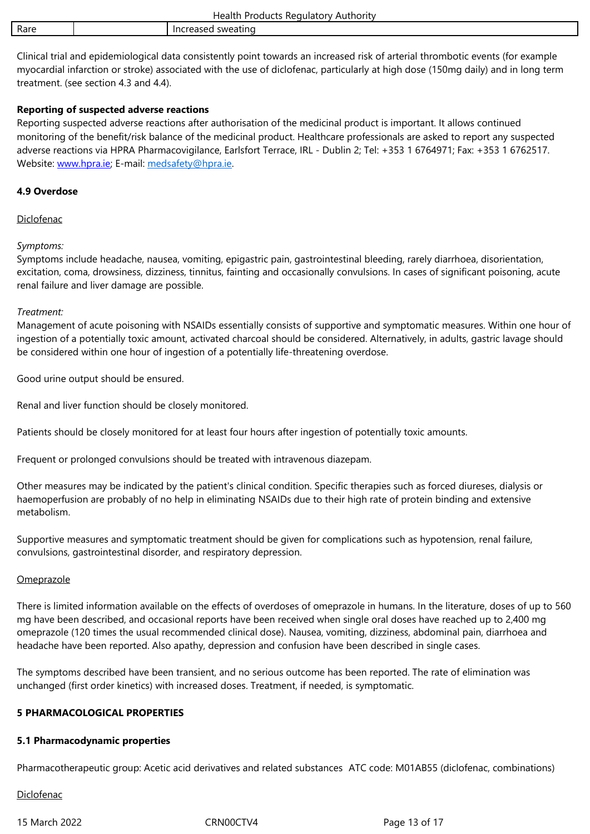Clinical trial and epidemiological data consistently point towards an increased risk of arterial thrombotic events (for example myocardial infarction or stroke) associated with the use of diclofenac, particularly at high dose (150mg daily) and in long term treatment. (see section 4.3 and 4.4).

## **Reporting of suspected adverse reactions**

Reporting suspected adverse reactions after authorisation of the medicinal product is important. It allows continued monitoring of the benefit/risk balance of the medicinal product. Healthcare professionals are asked to report any suspected adverse reactions via HPRA Pharmacovigilance, Earlsfort Terrace, IRL - Dublin 2; Tel: +353 1 6764971; Fax: +353 1 6762517. Website: www.hpra.ie; E-mail: medsafety@hpra.ie.

## **4.9 Overdose**

**Diclofen[ac](http://www.hpra.ie/)** 

## *Symptoms:*

Symptoms include headache, nausea, vomiting, epigastric pain, gastrointestinal bleeding, rarely diarrhoea, disorientation, excitation, coma, drowsiness, dizziness, tinnitus, fainting and occasionally convulsions. In cases of significant poisoning, acute renal failure and liver damage are possible.

## *Treatment:*

Management of acute poisoning with NSAIDs essentially consists of supportive and symptomatic measures. Within one hour of ingestion of a potentially toxic amount, activated charcoal should be considered. Alternatively, in adults, gastric lavage should be considered within one hour of ingestion of a potentially life-threatening overdose.

Good urine output should be ensured.

Renal and liver function should be closely monitored.

Patients should be closely monitored for at least four hours after ingestion of potentially toxic amounts.

Frequent or prolonged convulsions should be treated with intravenous diazepam.

Other measures may be indicated by the patient's clinical condition. Specific therapies such as forced diureses, dialysis or haemoperfusion are probably of no help in eliminating NSAIDs due to their high rate of protein binding and extensive metabolism.

Supportive measures and symptomatic treatment should be given for complications such as hypotension, renal failure, convulsions, gastrointestinal disorder, and respiratory depression.

## **Omeprazole**

There is limited information available on the effects of overdoses of omeprazole in humans. In the literature, doses of up to 560 mg have been described, and occasional reports have been received when single oral doses have reached up to 2,400 mg omeprazole (120 times the usual recommended clinical dose). Nausea, vomiting, dizziness, abdominal pain, diarrhoea and headache have been reported. Also apathy, depression and confusion have been described in single cases.

The symptoms described have been transient, and no serious outcome has been reported. The rate of elimination was unchanged (first order kinetics) with increased doses. Treatment, if needed, is symptomatic.

## **5 PHARMACOLOGICAL PROPERTIES**

## **5.1 Pharmacodynamic properties**

Pharmacotherapeutic group: Acetic acid derivatives and related substances ATC code: M01AB55 (diclofenac, combinations)

**Diclofenac** 

15 March 2022 CRN00CTV4 Page 13 of 17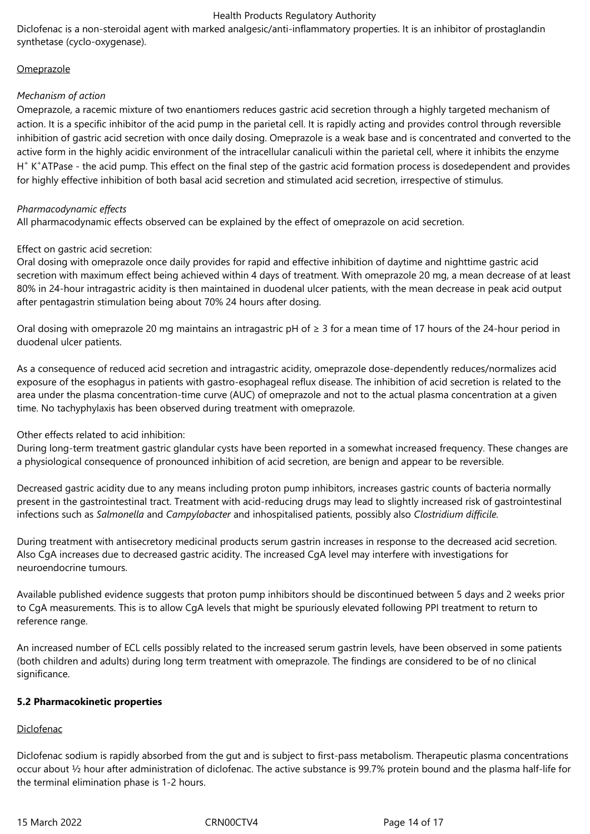Diclofenac is a non-steroidal agent with marked analgesic/anti-inflammatory properties. It is an inhibitor of prostaglandin synthetase (cyclo-oxygenase).

## **Omeprazole**

## *Mechanism of action*

Omeprazole, a racemic mixture of two enantiomers reduces gastric acid secretion through a highly targeted mechanism of action. It is a specific inhibitor of the acid pump in the parietal cell. It is rapidly acting and provides control through reversible inhibition of gastric acid secretion with once daily dosing. Omeprazole is a weak base and is concentrated and converted to the active form in the highly acidic environment of the intracellular canaliculi within the parietal cell, where it inhibits the enzyme H<sup>+</sup> K<sup>+</sup>ATPase - the acid pump. This effect on the final step of the gastric acid formation process is dosedependent and provides for highly effective inhibition of both basal acid secretion and stimulated acid secretion, irrespective of stimulus.

## *Pharmacodynamic effects*

All pharmacodynamic effects observed can be explained by the effect of omeprazole on acid secretion.

# Effect on gastric acid secretion:

Oral dosing with omeprazole once daily provides for rapid and effective inhibition of daytime and nighttime gastric acid secretion with maximum effect being achieved within 4 days of treatment. With omeprazole 20 mg, a mean decrease of at least 80% in 24-hour intragastric acidity is then maintained in duodenal ulcer patients, with the mean decrease in peak acid output after pentagastrin stimulation being about 70% 24 hours after dosing.

Oral dosing with omeprazole 20 mg maintains an intragastric  $pH$  of  $\geq$  3 for a mean time of 17 hours of the 24-hour period in duodenal ulcer patients.

As a consequence of reduced acid secretion and intragastric acidity, omeprazole dose-dependently reduces/normalizes acid exposure of the esophagus in patients with gastro-esophageal reflux disease. The inhibition of acid secretion is related to the area under the plasma concentration-time curve (AUC) of omeprazole and not to the actual plasma concentration at a given time. No tachyphylaxis has been observed during treatment with omeprazole.

# Other effects related to acid inhibition:

During long-term treatment gastric glandular cysts have been reported in a somewhat increased frequency. These changes are a physiological consequence of pronounced inhibition of acid secretion, are benign and appear to be reversible.

Decreased gastric acidity due to any means including proton pump inhibitors, increases gastric counts of bacteria normally present in the gastrointestinal tract. Treatment with acid-reducing drugs may lead to slightly increased risk of gastrointestinal infections such as *Salmonella* and *Campylobacter* and inhospitalised patients, possibly also *Clostridium difficile.* 

During treatment with antisecretory medicinal products serum gastrin increases in response to the decreased acid secretion. Also CgA increases due to decreased gastric acidity. The increased CgA level may interfere with investigations for neuroendocrine tumours.

Available published evidence suggests that proton pump inhibitors should be discontinued between 5 days and 2 weeks prior to CgA measurements. This is to allow CgA levels that might be spuriously elevated following PPI treatment to return to reference range.

An increased number of ECL cells possibly related to the increased serum gastrin levels, have been observed in some patients (both children and adults) during long term treatment with omeprazole. The findings are considered to be of no clinical significance.

# **5.2 Pharmacokinetic properties**

# Diclofenac

Diclofenac sodium is rapidly absorbed from the gut and is subject to first-pass metabolism. Therapeutic plasma concentrations occur about ½ hour after administration of diclofenac. The active substance is 99.7% protein bound and the plasma half-life for the terminal elimination phase is 1-2 hours.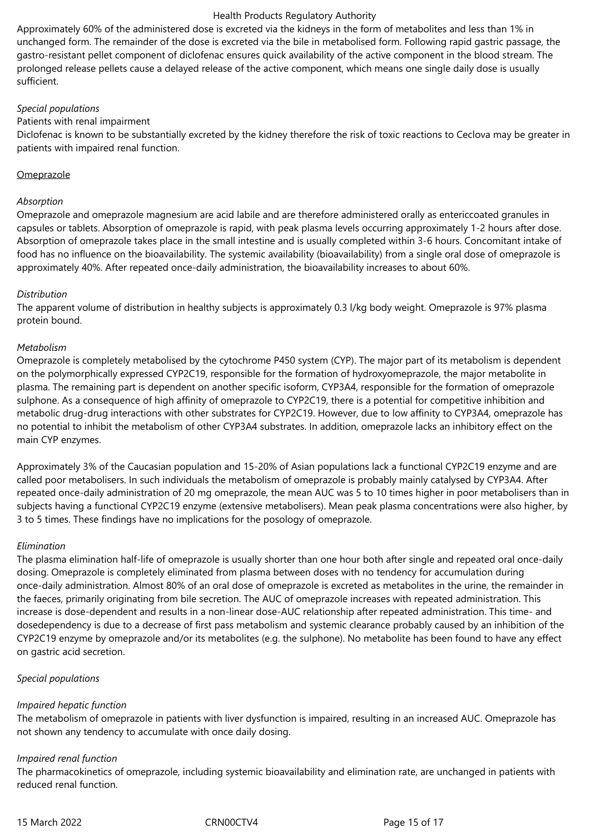Approximately 60% of the administered dose is excreted via the kidneys in the form of metabolites and less than 1% in unchanged form. The remainder of the dose is excreted via the bile in metabolised form. Following rapid gastric passage, the gastro-resistant pellet component of diclofenac ensures quick availability of the active component in the blood stream. The prolonged release pellets cause a delayed release of the active component, which means one single daily dose is usually sufficient.

## *Special populations*

## Patients with renal impairment

Diclofenac is known to be substantially excreted by the kidney therefore the risk of toxic reactions to Ceclova may be greater in patients with impaired renal function.

## **Omeprazole**

## *Absorption*

Omeprazole and omeprazole magnesium are acid labile and are therefore administered orally as entericcoated granules in capsules or tablets. Absorption of omeprazole is rapid, with peak plasma levels occurring approximately 1-2 hours after dose. Absorption of omeprazole takes place in the small intestine and is usually completed within 3-6 hours. Concomitant intake of food has no influence on the bioavailability. The systemic availability (bioavailability) from a single oral dose of omeprazole is approximately 40%. After repeated once-daily administration, the bioavailability increases to about 60%.

## *Distribution*

The apparent volume of distribution in healthy subjects is approximately 0.3 l/kg body weight. Omeprazole is 97% plasma protein bound.

## *Metabolism*

Omeprazole is completely metabolised by the cytochrome P450 system (CYP). The major part of its metabolism is dependent on the polymorphically expressed CYP2C19, responsible for the formation of hydroxyomeprazole, the major metabolite in plasma. The remaining part is dependent on another specific isoform, CYP3A4, responsible for the formation of omeprazole sulphone. As a consequence of high affinity of omeprazole to CYP2C19, there is a potential for competitive inhibition and metabolic drug-drug interactions with other substrates for CYP2C19. However, due to low affinity to CYP3A4, omeprazole has no potential to inhibit the metabolism of other CYP3A4 substrates. In addition, omeprazole lacks an inhibitory effect on the main CYP enzymes.

Approximately 3% of the Caucasian population and 15-20% of Asian populations lack a functional CYP2C19 enzyme and are called poor metabolisers. In such individuals the metabolism of omeprazole is probably mainly catalysed by CYP3A4. After repeated once-daily administration of 20 mg omeprazole, the mean AUC was 5 to 10 times higher in poor metabolisers than in subjects having a functional CYP2C19 enzyme (extensive metabolisers). Mean peak plasma concentrations were also higher, by 3 to 5 times. These findings have no implications for the posology of omeprazole.

## *Elimination*

The plasma elimination half-life of omeprazole is usually shorter than one hour both after single and repeated oral once-daily dosing. Omeprazole is completely eliminated from plasma between doses with no tendency for accumulation during once-daily administration. Almost 80% of an oral dose of omeprazole is excreted as metabolites in the urine, the remainder in the faeces, primarily originating from bile secretion. The AUC of omeprazole increases with repeated administration. This increase is dose-dependent and results in a non-linear dose-AUC relationship after repeated administration. This time- and dosedependency is due to a decrease of first pass metabolism and systemic clearance probably caused by an inhibition of the CYP2C19 enzyme by omeprazole and/or its metabolites (e.g. the sulphone). No metabolite has been found to have any effect on gastric acid secretion.

# *Special populations*

# *Impaired hepatic function*

The metabolism of omeprazole in patients with liver dysfunction is impaired, resulting in an increased AUC. Omeprazole has not shown any tendency to accumulate with once daily dosing.

## *Impaired renal function*

The pharmacokinetics of omeprazole, including systemic bioavailability and elimination rate, are unchanged in patients with reduced renal function.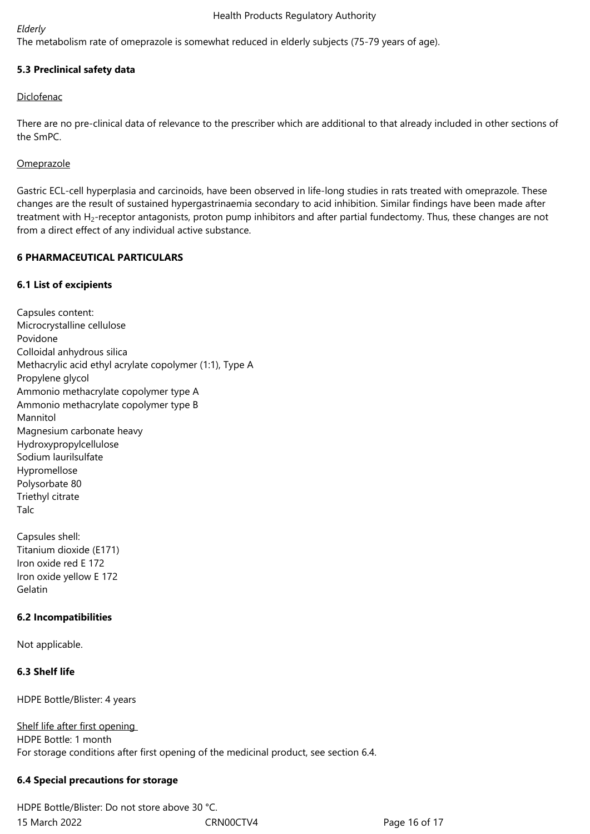## *Elderly*

The metabolism rate of omeprazole is somewhat reduced in elderly subjects (75-79 years of age).

# **5.3 Preclinical safety data**

## Diclofenac

There are no pre-clinical data of relevance to the prescriber which are additional to that already included in other sections of the SmPC.

## **Omeprazole**

Gastric ECL-cell hyperplasia and carcinoids, have been observed in life-long studies in rats treated with omeprazole. These changes are the result of sustained hypergastrinaemia secondary to acid inhibition. Similar findings have been made after treatment with H<sub>2</sub>-receptor antagonists, proton pump inhibitors and after partial fundectomy. Thus, these changes are not from a direct effect of any individual active substance.

## **6 PHARMACEUTICAL PARTICULARS**

## **6.1 List of excipients**

Capsules content: Microcrystalline cellulose Povidone Colloidal anhydrous silica Methacrylic acid ethyl acrylate copolymer (1:1), Type A Propylene glycol Ammonio methacrylate copolymer type A Ammonio methacrylate copolymer type B Mannitol Magnesium carbonate heavy Hydroxypropylcellulose Sodium laurilsulfate Hypromellose Polysorbate 80 Triethyl citrate Talc

Capsules shell: Titanium dioxide (E171) Iron oxide red E 172 Iron oxide yellow E 172 Gelatin

# **6.2 Incompatibilities**

Not applicable.

# **6.3 Shelf life**

HDPE Bottle/Blister: 4 years

Shelf life after first opening HDPE Bottle: 1 month For storage conditions after first opening of the medicinal product, see section 6.4.

## **6.4 Special precautions for storage**